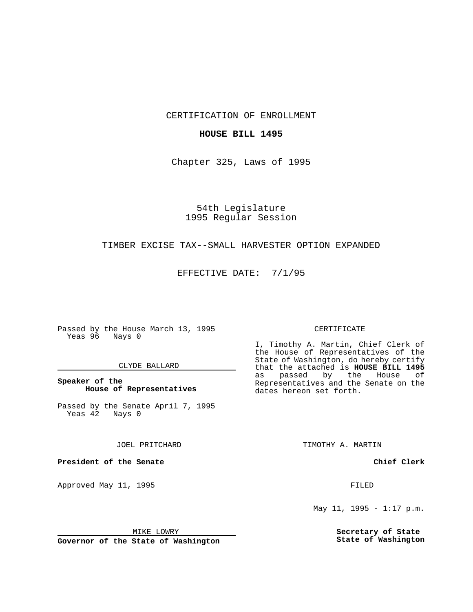CERTIFICATION OF ENROLLMENT

### **HOUSE BILL 1495**

Chapter 325, Laws of 1995

54th Legislature 1995 Regular Session

## TIMBER EXCISE TAX--SMALL HARVESTER OPTION EXPANDED

EFFECTIVE DATE: 7/1/95

Passed by the House March 13, 1995 Yeas 96 Nays 0

#### CLYDE BALLARD

### **Speaker of the House of Representatives**

Passed by the Senate April 7, 1995<br>Yeas 42 Nays 0 Yeas 42

JOEL PRITCHARD

**President of the Senate**

Approved May 11, 1995 FILED

MIKE LOWRY

**Governor of the State of Washington**

#### CERTIFICATE

I, Timothy A. Martin, Chief Clerk of the House of Representatives of the State of Washington, do hereby certify that the attached is **HOUSE BILL 1495** as passed by the House of Representatives and the Senate on the dates hereon set forth.

TIMOTHY A. MARTIN

**Chief Clerk**

May 11, 1995 -  $1:17$  p.m.

**Secretary of State State of Washington**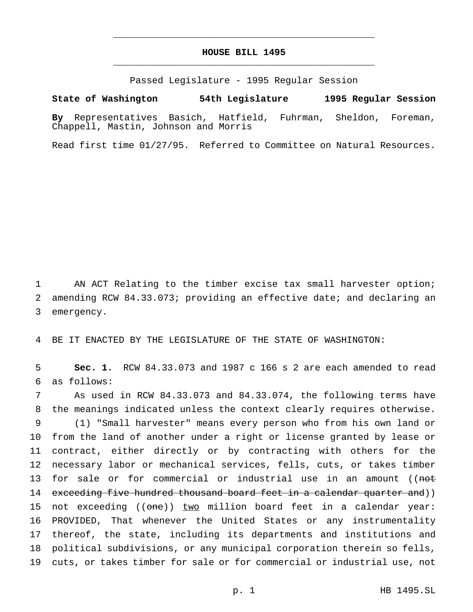# **HOUSE BILL 1495** \_\_\_\_\_\_\_\_\_\_\_\_\_\_\_\_\_\_\_\_\_\_\_\_\_\_\_\_\_\_\_\_\_\_\_\_\_\_\_\_\_\_\_\_\_\_\_

\_\_\_\_\_\_\_\_\_\_\_\_\_\_\_\_\_\_\_\_\_\_\_\_\_\_\_\_\_\_\_\_\_\_\_\_\_\_\_\_\_\_\_\_\_\_\_

Passed Legislature - 1995 Regular Session

#### **State of Washington 54th Legislature 1995 Regular Session**

**By** Representatives Basich, Hatfield, Fuhrman, Sheldon, Foreman, Chappell, Mastin, Johnson and Morris

Read first time 01/27/95. Referred to Committee on Natural Resources.

1 AN ACT Relating to the timber excise tax small harvester option; 2 amending RCW 84.33.073; providing an effective date; and declaring an 3 emergency.

4 BE IT ENACTED BY THE LEGISLATURE OF THE STATE OF WASHINGTON:

5 **Sec. 1.** RCW 84.33.073 and 1987 c 166 s 2 are each amended to read 6 as follows:

 As used in RCW 84.33.073 and 84.33.074, the following terms have the meanings indicated unless the context clearly requires otherwise. (1) "Small harvester" means every person who from his own land or from the land of another under a right or license granted by lease or contract, either directly or by contracting with others for the necessary labor or mechanical services, fells, cuts, or takes timber 13 for sale or for commercial or industrial use in an amount ((not 14 exceeding five hundred thousand board feet in a calendar quarter and)) 15 not exceeding ((one)) two million board feet in a calendar year: PROVIDED, That whenever the United States or any instrumentality thereof, the state, including its departments and institutions and political subdivisions, or any municipal corporation therein so fells, cuts, or takes timber for sale or for commercial or industrial use, not